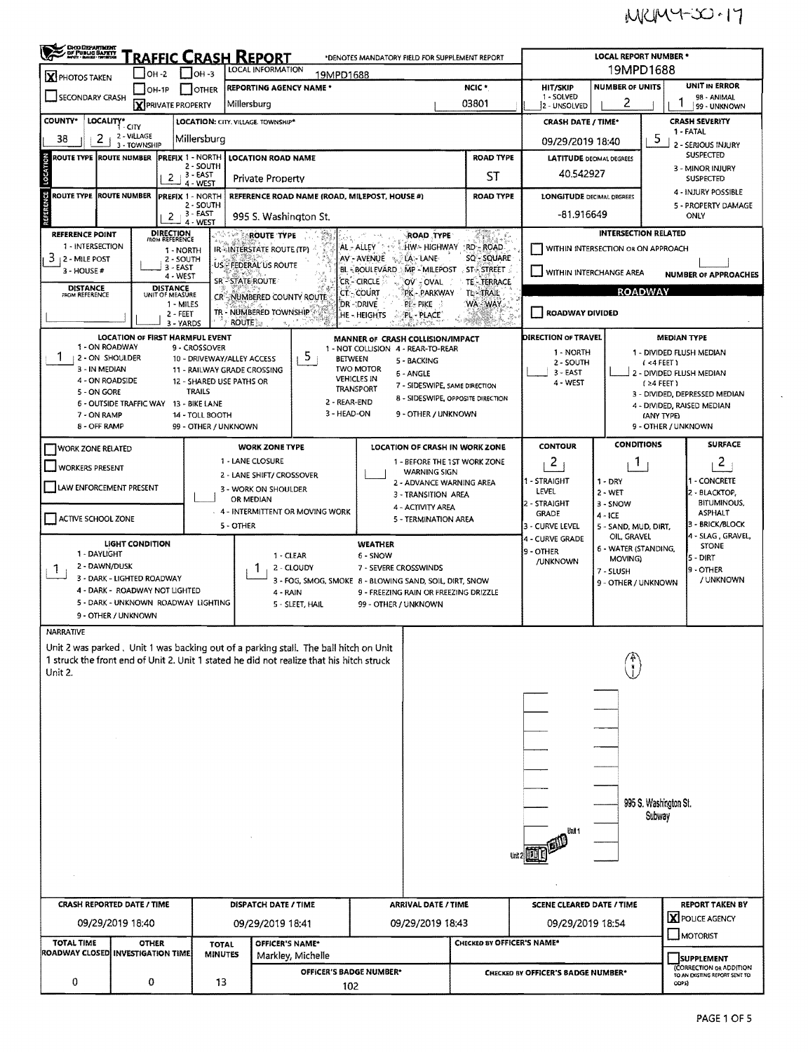$\ddot{\phantom{a}}$ 

| <b>CHOO DEPARTMENT<br/>DI PUBLIC SAFETY</b><br>MARTI HANNI TRANSON<br><u>Traffic Crash Report</u><br>*DENOTES MANDATORY FIELD FOR SUPPLEMENT REPORT<br>LOCAL INFORMATION |                                                                                                                                                                                          |                         |                                 |                             |                                                                                          |                                           |                                                          |                                  |                                     |                                                        | <b>LOCAL REPORT NUMBER *</b><br>19MPD1688                          |                                              |                                                         |  |  |  |  |
|--------------------------------------------------------------------------------------------------------------------------------------------------------------------------|------------------------------------------------------------------------------------------------------------------------------------------------------------------------------------------|-------------------------|---------------------------------|-----------------------------|------------------------------------------------------------------------------------------|-------------------------------------------|----------------------------------------------------------|----------------------------------|-------------------------------------|--------------------------------------------------------|--------------------------------------------------------------------|----------------------------------------------|---------------------------------------------------------|--|--|--|--|
| X PHOTOS TAKEN                                                                                                                                                           | $OH -2$                                                                                                                                                                                  |                         | $1$ OH -3                       |                             | 19MPD1688                                                                                |                                           |                                                          |                                  | <b>UNIT IN ERROR</b>                |                                                        |                                                                    |                                              |                                                         |  |  |  |  |
| SECONDARY CRASH                                                                                                                                                          | $OH-1P$                                                                                                                                                                                  |                         | OTHER                           |                             | <b>REPORTING AGENCY NAME *</b>                                                           |                                           | NCIC <sup>*</sup>                                        | <b>HIT/SKIP</b><br>1 - SOLVED    | <b>NUMBER OF UNITS</b><br>2         |                                                        | 98 - ANIMAL<br>99 - UNKNOWN                                        |                                              |                                                         |  |  |  |  |
| <b>Y</b> PRIVATE PROPERTY<br>03801<br>Millersburg<br>COUNTY*<br>LOCALITY*<br>LOCATION: CITY, VILLAGE TOWNSHIP*                                                           |                                                                                                                                                                                          |                         |                                 |                             |                                                                                          |                                           |                                                          |                                  |                                     |                                                        | 2 - UNSOLVED<br><b>CRASH SEVERITY</b><br><b>CRASH DATE / TIME*</b> |                                              |                                                         |  |  |  |  |
| - CITY<br>2 - VILLAGE<br>2<br>Millersburg<br>38                                                                                                                          |                                                                                                                                                                                          |                         |                                 |                             |                                                                                          |                                           |                                                          |                                  |                                     |                                                        | 5                                                                  | 1 - FATAL                                    |                                                         |  |  |  |  |
| 3 - TOWNSHIP<br>ROUTE TYPE ROUTE NUMBER<br><b>PREFIX 1 - NORTH</b><br><b>ROAD TYPE</b><br><b>LOCATION ROAD NAME</b>                                                      |                                                                                                                                                                                          |                         |                                 |                             |                                                                                          |                                           |                                                          |                                  |                                     | 09/29/2019 18:40                                       |                                                                    | 2 - SERIOUS INJURY<br><b>SUSPECTED</b>       |                                                         |  |  |  |  |
| LOCATION                                                                                                                                                                 |                                                                                                                                                                                          | 2                       | 2 - SOUTH<br>3 - EAST           |                             | Private Property                                                                         | ST                                        |                                                          |                                  |                                     |                                                        | <b>LATITUDE DECIMAL DEGREES</b><br>40.542927                       |                                              | 3 - MINOR INJURY<br><b>SUSPECTED</b>                    |  |  |  |  |
| ENCE<br>ROUTE TYPE ROUTE NUMBER                                                                                                                                          |                                                                                                                                                                                          |                         | 4 - WEST<br>PREFIX 1 - NORTH    |                             | REFERENCE ROAD NAME (ROAD, MILEPOST, HOUSE #)                                            |                                           | <b>ROAD TYPE</b>                                         | <b>LONGITUDE DECIMAL DEGREES</b> |                                     |                                                        | 4 - INJURY POSSIBLE                                                |                                              |                                                         |  |  |  |  |
|                                                                                                                                                                          |                                                                                                                                                                                          | 3 - EAST                | 2 - SOUTH                       |                             |                                                                                          |                                           |                                                          |                                  |                                     | -81.916649                                             | 5 - PROPERTY DAMAGE<br>ONLY                                        |                                              |                                                         |  |  |  |  |
|                                                                                                                                                                          |                                                                                                                                                                                          | 2                       | 4 - WEST                        |                             | 995 S. Washington St.                                                                    |                                           |                                                          |                                  |                                     | <b>INTERSECTION RELATED</b>                            |                                                                    |                                              |                                                         |  |  |  |  |
| <b>REFERENCE POINT</b><br>1 - INTERSECTION                                                                                                                               | DIRECTION<br>FROM REFERENCE                                                                                                                                                              | 1 - NORTH               |                                 |                             | ROUTE TYPE<br>IR-INTERSTATE ROUTE (TP)                                                   | AL - ALLEY THE                            | <b>ROAD TYPE</b><br>HW- HIGHWAY                          |                                  | ZRSLE<br>:RD - ROAD                 |                                                        |                                                                    |                                              |                                                         |  |  |  |  |
| 3<br><b>12 - MILE POST</b>                                                                                                                                               |                                                                                                                                                                                          | 2 - SOUTH<br>$3 - EAST$ |                                 |                             | US FEDERAL US ROUTE                                                                      | AV-AVENUE                                 | LA-LANE                                                  |                                  | SQ - SQUARE                         | WITHIN INTERSECTION OR ON APPROACH                     |                                                                    |                                              |                                                         |  |  |  |  |
|                                                                                                                                                                          | ST STREET<br><b>BL &amp; BOULEVARD </b><br>MP - MILEPOST<br>3 - HOUSE #<br>4 - WEST<br>SR <sup>**</sup> STATE ROUTE<br>CR-CIRCLE<br>OV - OVAL<br>TE - TERRACE                            |                         |                                 |                             |                                                                                          |                                           |                                                          |                                  |                                     | WITHIN INTERCHANGE AREA<br><b>NUMBER OF APPROACHES</b> |                                                                    |                                              |                                                         |  |  |  |  |
| FROM REFERENCE                                                                                                                                                           | <b>DISTANCE</b><br><b>DISTANCE</b><br>UNIT OF MEASURE<br>CT - COURT<br>PK - PARKWAY<br>TL-TRAIL<br>NUMBERED COUNTY ROUTE<br>CR<br>DR -: DRIVE<br><b>PI - PIKE</b><br>WA WAY<br>1 - MILES |                         |                                 |                             |                                                                                          |                                           |                                                          |                                  |                                     |                                                        | <b>ROADWAY</b>                                                     |                                              |                                                         |  |  |  |  |
|                                                                                                                                                                          |                                                                                                                                                                                          | $2 - FEET$<br>3 - YARDS |                                 | <b>ROUTE</b>                | TR - NUMBERED TOWNSHIP                                                                   | HE - HEIGHTS                              | PL - PLACE                                               |                                  |                                     | <b>ROADWAY DIVIDED</b>                                 |                                                                    |                                              |                                                         |  |  |  |  |
|                                                                                                                                                                          | <b>LOCATION OF FIRST HARMFUL EVENT</b>                                                                                                                                                   |                         |                                 |                             |                                                                                          | MANNER OF CRASH COLLISION/IMPACT          |                                                          |                                  |                                     | <b>DIRECTION OF TRAVEL</b>                             |                                                                    | <b>MEDIAN TYPE</b>                           |                                                         |  |  |  |  |
| 1 - ON ROADWAY<br>1<br>2 - ON SHOULDER                                                                                                                                   |                                                                                                                                                                                          |                         | 9 - CROSSOVER                   | 10 - DRIVEWAY/ALLEY ACCESS  | 5<br><b>BETWEEN</b>                                                                      | 1 - NOT COLLISION 4 - REAR-TO-REAR        | 5 - BACKING                                              |                                  |                                     | 1 - NORTH                                              |                                                                    |                                              | 1 - DIVIDED FLUSH MEDIAN                                |  |  |  |  |
| 3 - IN MEDIAN                                                                                                                                                            |                                                                                                                                                                                          |                         |                                 | 11 - RAILWAY GRADE CROSSING | <b>TWO MOTOR</b><br><b>VEHICLES IN</b>                                                   |                                           | 2 - SOUTH<br>$3 - EAST$                                  |                                  | (4FEET)<br>2 - DIVIDED FLUSH MEDIAN |                                                        |                                                                    |                                              |                                                         |  |  |  |  |
| 4 - ON ROADSIDE<br>5 - ON GORE                                                                                                                                           |                                                                                                                                                                                          |                         | <b>TRAILS</b>                   | 12 - SHARED USE PATHS OR    |                                                                                          | <b>TRANSPORT</b>                          | 7 - SIDESWIPE, SAME DIRECTION                            |                                  |                                     | 4 - WEST                                               |                                                                    | $(24$ FEET)<br>3 - DIVIDED, DEPRESSED MEDIAN |                                                         |  |  |  |  |
| 7 - ON RAMP                                                                                                                                                              | 6 - OUTSIDE TRAFFIC WAY                                                                                                                                                                  |                         | 13 - BIKE LANE<br>14 TOLL BOOTH |                             | 2 - REAR-END<br>3 - HEAD-ON                                                              |                                           | 8 - SIDESWIPE, OPPOSITE DIRECTION<br>9 - OTHER / UNKNOWN |                                  |                                     |                                                        |                                                                    |                                              | 4 - DIVIDED, RAISED MEDIAN<br>(ANY TYPE)                |  |  |  |  |
| 8 - OFF RAMP                                                                                                                                                             |                                                                                                                                                                                          |                         |                                 | 99 - OTHER / UNKNOWN        |                                                                                          |                                           |                                                          |                                  |                                     |                                                        |                                                                    |                                              | 9 - OTHER / UNKNOWN                                     |  |  |  |  |
| <b>WORK ZONE RELATED</b>                                                                                                                                                 |                                                                                                                                                                                          |                         |                                 |                             | <b>WORK ZONE TYPE</b>                                                                    |                                           | LOCATION OF CRASH IN WORK ZONE                           |                                  |                                     | <b>CONTOUR</b>                                         | <b>CONDITIONS</b>                                                  |                                              | <b>SURFACE</b>                                          |  |  |  |  |
| <b>WORKERS PRESENT</b>                                                                                                                                                   |                                                                                                                                                                                          |                         |                                 | 1 - LANE CLOSURE            |                                                                                          |                                           | 1 - BEFORE THE 1ST WORK ZONE                             |                                  |                                     | 2                                                      | Т.                                                                 |                                              | $\mathbf{z}$                                            |  |  |  |  |
| LAW ENFORCEMENT PRESENT                                                                                                                                                  |                                                                                                                                                                                          |                         |                                 |                             | 2 - LANE SHIFT/ CROSSOVER<br>3 - WORK ON SHOULDER                                        |                                           | <b>WARNING SIGN</b><br>2 - ADVANCE WARNING AREA          |                                  |                                     | 1 - STRAIGHT                                           | $1 - DRY$                                                          |                                              | 1 - CONCRETE                                            |  |  |  |  |
|                                                                                                                                                                          |                                                                                                                                                                                          |                         |                                 | OR MEDIAN                   |                                                                                          | 3 - TRANSITION AREA                       |                                                          | LEVEL<br>2 - STRAIGHT            | $2 - WET$<br>3 - SNOW               |                                                        | 2 - BLACKTOP,<br><b>BITUMINOUS,</b>                                |                                              |                                                         |  |  |  |  |
| ACTIVE SCHOOL ZONE                                                                                                                                                       |                                                                                                                                                                                          |                         |                                 |                             | - 4 - INTERMITTENT OR MOVING WORK                                                        | 4 - ACTIVITY AREA<br>5 - TERMINATION AREA |                                                          | <b>GRADE</b>                     | $4 - ICE$                           | <b>ASPHALT</b><br>3 - BRICK/BLOCK                      |                                                                    |                                              |                                                         |  |  |  |  |
|                                                                                                                                                                          |                                                                                                                                                                                          |                         |                                 | 5 - OTHER                   |                                                                                          |                                           |                                                          |                                  |                                     | 3 - CURVE LEVEL<br>4 - CURVE GRADE                     | 5 - SAND, MUD, DIRT,<br>OIL, GRAVEL                                |                                              | 4 - SLAG, GRAVEL,<br><b>STONE</b><br>ls - dirt          |  |  |  |  |
| 1 - DAYLIGHT                                                                                                                                                             | <b>LIGHT CONDITION</b>                                                                                                                                                                   |                         |                                 |                             | $1 - CLEAR$                                                                              | <b>WEATHER</b><br>6 - SNOW                |                                                          |                                  |                                     | 9 - OTHER<br>/UNKNOWN                                  | 6 - WATER (STANDING,<br>MOVING)                                    |                                              |                                                         |  |  |  |  |
| 2 - DAWN/DUSK<br>1                                                                                                                                                       | 3 - DARK - LIGHTED ROADWAY                                                                                                                                                               |                         |                                 |                             | 2 - CLOUDY                                                                               |                                           | 7 - SEVERE CROSSWINDS                                    |                                  |                                     |                                                        | 7 - SLUSH                                                          |                                              | 9 - OTHER<br>/ UNKNOWN                                  |  |  |  |  |
|                                                                                                                                                                          | 4 - DARK - ROADWAY NOT LIGHTED                                                                                                                                                           |                         |                                 |                             | 3 - FOG, SMOG, SMOKE 8 - BLOWING SAND, SOIL, DIRT, SNOW<br>4 - RAIN                      | 9 - FREEZING RAIN OR FREEZING DRIZZLE     |                                                          |                                  | 9 - OTHER / UNKNOWN                 |                                                        |                                                                    |                                              |                                                         |  |  |  |  |
|                                                                                                                                                                          | 5 - DARK - UNKNOWN ROADWAY LIGHTING<br>9 - OTHER / UNKNOWN                                                                                                                               |                         |                                 |                             | 5 - SLEET, HAIL                                                                          |                                           |                                                          |                                  |                                     |                                                        |                                                                    |                                              |                                                         |  |  |  |  |
| NARRATIVE                                                                                                                                                                |                                                                                                                                                                                          |                         |                                 |                             |                                                                                          |                                           |                                                          |                                  |                                     |                                                        |                                                                    |                                              |                                                         |  |  |  |  |
|                                                                                                                                                                          |                                                                                                                                                                                          |                         |                                 |                             | Unit 2 was parked, Unit 1 was backing out of a parking stall. The ball hitch on Unit     |                                           |                                                          |                                  |                                     |                                                        |                                                                    |                                              |                                                         |  |  |  |  |
| Unit 2.                                                                                                                                                                  |                                                                                                                                                                                          |                         |                                 |                             | 1 struck the front end of Unit 2. Unit 1 stated he did not realize that his hitch struck |                                           |                                                          |                                  |                                     |                                                        |                                                                    |                                              |                                                         |  |  |  |  |
|                                                                                                                                                                          |                                                                                                                                                                                          |                         |                                 |                             |                                                                                          |                                           |                                                          |                                  |                                     |                                                        |                                                                    |                                              |                                                         |  |  |  |  |
|                                                                                                                                                                          |                                                                                                                                                                                          |                         |                                 |                             |                                                                                          |                                           |                                                          |                                  |                                     |                                                        |                                                                    |                                              |                                                         |  |  |  |  |
|                                                                                                                                                                          |                                                                                                                                                                                          |                         |                                 |                             |                                                                                          |                                           |                                                          |                                  |                                     |                                                        |                                                                    |                                              |                                                         |  |  |  |  |
|                                                                                                                                                                          |                                                                                                                                                                                          |                         |                                 |                             |                                                                                          |                                           |                                                          |                                  |                                     |                                                        |                                                                    |                                              |                                                         |  |  |  |  |
|                                                                                                                                                                          |                                                                                                                                                                                          |                         |                                 |                             |                                                                                          |                                           |                                                          |                                  |                                     |                                                        |                                                                    |                                              |                                                         |  |  |  |  |
|                                                                                                                                                                          |                                                                                                                                                                                          |                         |                                 |                             |                                                                                          |                                           |                                                          |                                  |                                     |                                                        |                                                                    |                                              |                                                         |  |  |  |  |
|                                                                                                                                                                          |                                                                                                                                                                                          |                         |                                 |                             |                                                                                          |                                           |                                                          |                                  |                                     |                                                        |                                                                    |                                              |                                                         |  |  |  |  |
|                                                                                                                                                                          |                                                                                                                                                                                          |                         |                                 |                             |                                                                                          |                                           |                                                          | 995 S. Washington St.<br>Subway  |                                     |                                                        |                                                                    |                                              |                                                         |  |  |  |  |
|                                                                                                                                                                          |                                                                                                                                                                                          |                         |                                 |                             |                                                                                          |                                           |                                                          |                                  |                                     |                                                        |                                                                    |                                              |                                                         |  |  |  |  |
|                                                                                                                                                                          |                                                                                                                                                                                          |                         |                                 |                             |                                                                                          |                                           |                                                          |                                  |                                     |                                                        |                                                                    |                                              |                                                         |  |  |  |  |
|                                                                                                                                                                          |                                                                                                                                                                                          |                         |                                 |                             |                                                                                          |                                           |                                                          |                                  |                                     |                                                        |                                                                    |                                              |                                                         |  |  |  |  |
|                                                                                                                                                                          |                                                                                                                                                                                          |                         |                                 |                             |                                                                                          |                                           |                                                          |                                  |                                     |                                                        |                                                                    |                                              |                                                         |  |  |  |  |
| <b>CRASH REPORTED DATE / TIME</b>                                                                                                                                        |                                                                                                                                                                                          |                         |                                 |                             | DISPATCH DATE / TIME                                                                     | ARRIVAL DATE / TIME                       |                                                          |                                  | <b>SCENE CLEARED DATE / TIME</b>    |                                                        |                                                                    | <b>REPORT TAKEN BY</b>                       |                                                         |  |  |  |  |
|                                                                                                                                                                          | 09/29/2019 18:40                                                                                                                                                                         |                         |                                 |                             | 09/29/2019 18:41                                                                         |                                           | 09/29/2019 18:43                                         |                                  |                                     | 09/29/2019 18:54                                       |                                                                    |                                              | X POLICE AGENCY                                         |  |  |  |  |
| <b>TOTAL TIME</b>                                                                                                                                                        | <b>OTHER</b>                                                                                                                                                                             |                         | <b>TOTAL</b>                    |                             | OFFICER'S NAME*                                                                          |                                           | CHECKED BY OFFICER'S NAME*                               |                                  |                                     |                                                        |                                                                    |                                              | MOTORIST                                                |  |  |  |  |
| ROADWAY CLOSED INVESTIGATION TIME                                                                                                                                        |                                                                                                                                                                                          |                         | <b>MINUTES</b>                  |                             | Markley, Michelle                                                                        |                                           |                                                          |                                  |                                     |                                                        |                                                                    |                                              | SUPPLEMENT                                              |  |  |  |  |
| 0                                                                                                                                                                        | 0                                                                                                                                                                                        |                         |                                 |                             | OFFICER'S BADGE NUMBER*                                                                  |                                           |                                                          |                                  |                                     | <b>CHECKED BY OFFICER'S BADGE NUMBER*</b>              |                                                                    |                                              | CORRECTION OR ADDITION<br>TO AN EXISTING REPORT SENT TO |  |  |  |  |
|                                                                                                                                                                          | 13<br>102                                                                                                                                                                                |                         |                                 |                             |                                                                                          |                                           |                                                          |                                  |                                     |                                                        |                                                                    |                                              | ODPS)                                                   |  |  |  |  |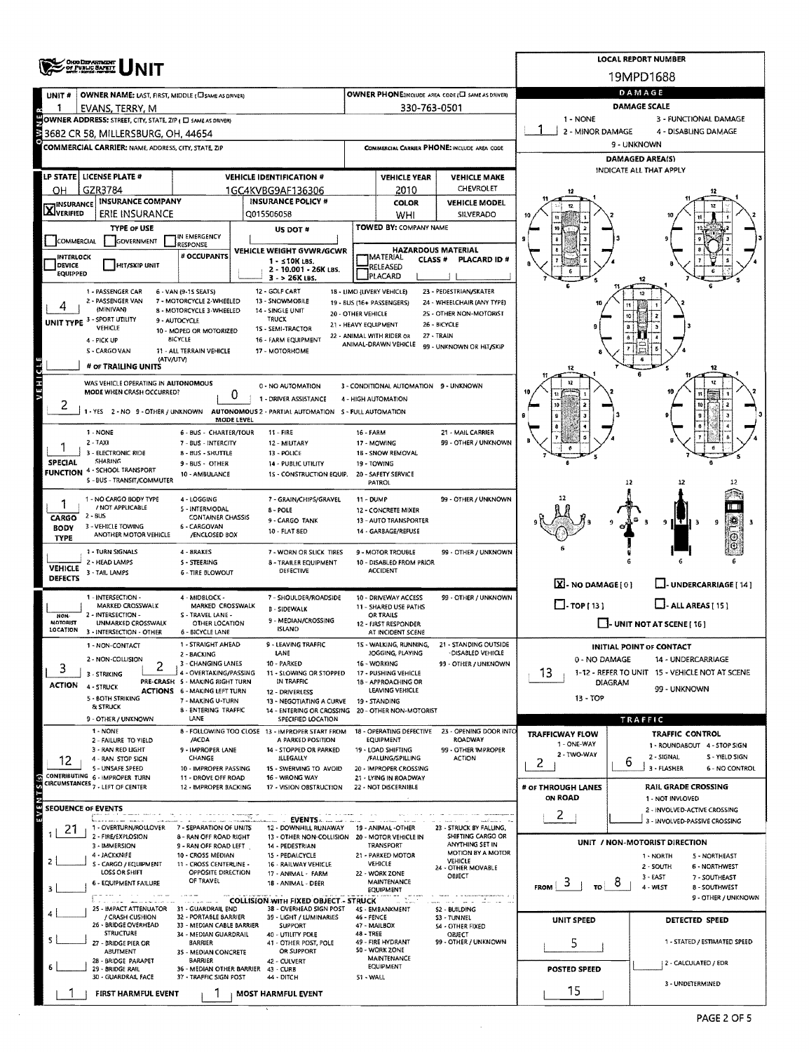|                                                                                                                                                                                    | <b>OHOO DEPARTMENT<br/>OF PUBLIC SAPRTY</b>                        |                                                               | <b>LOCAL REPORT NUMBER</b>                                             |                                                                       |                                                                    |                                                 |                                      |                                                                    |  |  |  |  |  |
|------------------------------------------------------------------------------------------------------------------------------------------------------------------------------------|--------------------------------------------------------------------|---------------------------------------------------------------|------------------------------------------------------------------------|-----------------------------------------------------------------------|--------------------------------------------------------------------|-------------------------------------------------|--------------------------------------|--------------------------------------------------------------------|--|--|--|--|--|
|                                                                                                                                                                                    |                                                                    |                                                               | 19MPD1688                                                              |                                                                       |                                                                    |                                                 |                                      |                                                                    |  |  |  |  |  |
| UNIT #                                                                                                                                                                             | <b>OWNER NAME: LAST, FIRST, MIDDLE (CI SAME AS DRIVER)</b>         |                                                               | DAMAGE                                                                 |                                                                       |                                                                    |                                                 |                                      |                                                                    |  |  |  |  |  |
|                                                                                                                                                                                    | EVANS, TERRY, M                                                    |                                                               |                                                                        |                                                                       | 330-763-0501                                                       |                                                 |                                      | <b>DAMAGE SCALE</b>                                                |  |  |  |  |  |
| OWNER ADDRESS: STREET, CITY, STATE, ZIP ( D SAME AS DRIVER)<br>1 - NONE<br>3 - FUNCTIONAL DAMAGE<br>2 - MINOR DAMAGE<br>4 - DISABLING DAMAGE<br>3682 CR 58, MILLERSBURG, OH, 44654 |                                                                    |                                                               |                                                                        |                                                                       |                                                                    |                                                 |                                      |                                                                    |  |  |  |  |  |
|                                                                                                                                                                                    | COMMERCIAL CARRIER: NAME, ADDRESS, CITY, STATE, ZIP                |                                                               |                                                                        |                                                                       |                                                                    | COMMERCIAL CARRIER PHONE: INCLUDE AREA CODE     |                                      | 9 - UNKNOWN                                                        |  |  |  |  |  |
|                                                                                                                                                                                    |                                                                    |                                                               |                                                                        |                                                                       |                                                                    |                                                 | <b>DAMAGED AREA(S)</b>               |                                                                    |  |  |  |  |  |
|                                                                                                                                                                                    | LP STATE  LICENSE PLATE #                                          |                                                               | <b>VEHICLE IDENTIFICATION #</b>                                        |                                                                       | <b>VEHICLE YEAR</b>                                                | <b>VEHICLE MAKE</b>                             | INDICATE ALL THAT APPLY              |                                                                    |  |  |  |  |  |
| ΟН                                                                                                                                                                                 | GZR3784                                                            |                                                               | 1GC4KVBG9AF136306                                                      |                                                                       | 2010                                                               | CHEVROLET                                       |                                      |                                                                    |  |  |  |  |  |
| <b>X</b> INSURANCE                                                                                                                                                                 | <b>INSURANCE COMPANY</b>                                           |                                                               | <b>INSURANCE POLICY #</b>                                              |                                                                       | <b>COLOR</b>                                                       | <b>VEHICLE MODEL</b>                            |                                      |                                                                    |  |  |  |  |  |
|                                                                                                                                                                                    | ERIE INSURANCE<br><b>TYPE OF USE</b>                               |                                                               | Q015506058<br>US DOT #                                                 |                                                                       | WHI<br>TOWED BY: COMPANY NAME                                      | <b>SILVERADO</b>                                |                                      |                                                                    |  |  |  |  |  |
| <b>COMMERCIAL</b>                                                                                                                                                                  | GOVERNMENT                                                         | IN EMERGENCY<br>RESPONSE                                      |                                                                        |                                                                       |                                                                    |                                                 |                                      |                                                                    |  |  |  |  |  |
| INTERLOCK                                                                                                                                                                          |                                                                    | # OCCUPANTS                                                   | VEHICLE WEIGHT GVWR/GCWR<br>$1 - 510K$ LBS.                            |                                                                       | <b>HAZARDOUS MATERIAL</b><br><b>MATERIAL</b><br>CLASS <sup>#</sup> | PLACARD ID #                                    |                                      |                                                                    |  |  |  |  |  |
| DEVICE<br><b>EQUIPPED</b>                                                                                                                                                          | <b>HIT/SKIP UNIT</b>                                               |                                                               | 2 - 10.001 - 26K LBS.<br>3 - > 26K LBS.                                |                                                                       | RELEASED<br>PLACARD                                                |                                                 |                                      |                                                                    |  |  |  |  |  |
|                                                                                                                                                                                    | 1 - PASSENGER CAR                                                  | 6 VAN (9-15 SEATS)                                            | 12 - GOLF CART                                                         |                                                                       | 18 - LIMO (LIVERY VEHICLE)                                         | 23 - PEDESTRIAN/SKATER                          |                                      |                                                                    |  |  |  |  |  |
|                                                                                                                                                                                    | 2 - PASSENGER VAN<br>(MINIVAN)                                     | 7 - MOTORCYCLE 2-WHEELED<br>8 - MOTORCYCLE 3-WHEELED          | 13 - SNOWMOBILE<br>14 - SINGLE UNIT                                    |                                                                       | 19 - BUS (16+ PASSENGERS)                                          | 24 - WHEELCHAIR (ANY TYPE)                      |                                      |                                                                    |  |  |  |  |  |
| UNIT TYPE 3                                                                                                                                                                        | - SPORT UTILITY<br>VEHICLE                                         | 9 - AUTOCYCLE                                                 | <b>TRUCK</b><br>15 - SEMI-TRACTOR                                      | 20 - OTHER VEHICLE<br>21 - HEAVY EQUIPMENT                            |                                                                    | 25 - OTHER NON-MOTORIST<br>26 - BICYCLE         |                                      |                                                                    |  |  |  |  |  |
|                                                                                                                                                                                    | 4 - PICK UP                                                        | 10 - MOPED OR MOTORIZED<br><b>SICYCLE</b>                     | 16 - FARM EQUIPMENT                                                    |                                                                       | 22 - ANIMAL WITH RIDER OR<br>ANIMAL-DRAWN VEHICLE                  | 27 - TRAIN                                      |                                      |                                                                    |  |  |  |  |  |
|                                                                                                                                                                                    | <b>S - CARGO VAN</b><br>(ATV/UTV)                                  | 11 - ALL TERRAIN VEHICLE                                      | 17 - MOTORHOME                                                         |                                                                       |                                                                    | 99 - UNKNOWN OR HIT/SKIP                        |                                      |                                                                    |  |  |  |  |  |
|                                                                                                                                                                                    | # OF TRAILING UNITS                                                |                                                               |                                                                        |                                                                       |                                                                    |                                                 |                                      | 12                                                                 |  |  |  |  |  |
| <b>AEHICTE</b>                                                                                                                                                                     | WAS VEHICLE OPERATING IN AUTONOMOUS<br>MODE WHEN CRASH OCCURRED?   |                                                               | 0 - NO AUTOMATION                                                      |                                                                       | 3 - CONDITIONAL AUTOMATION 9 - UNKNOWN                             |                                                 |                                      |                                                                    |  |  |  |  |  |
| ۷                                                                                                                                                                                  |                                                                    | 0                                                             | 1 - DRIVER ASSISTANCE                                                  |                                                                       | 4 - HIGH AUTOMATION                                                |                                                 |                                      |                                                                    |  |  |  |  |  |
|                                                                                                                                                                                    | 1 - YES 2 - NO 9 - OTHER / UNKNOWN                                 | MODE LEVEL                                                    | AUTONOMOUS 2 - PARTIAL AUTOMATION 5 - FULL AUTOMATION                  |                                                                       |                                                                    |                                                 |                                      |                                                                    |  |  |  |  |  |
|                                                                                                                                                                                    | 1 - NONE<br>$2 - TAXI$                                             | 6 - BUS - CHARTER/TOUR<br>7 - BUS - INTERCITY                 | $11 - FIRE$                                                            | 21 - MAIL CARRIER<br>16 - FARM<br>99 - OTHER / UNKNOWN<br>17 - MOWING |                                                                    |                                                 |                                      |                                                                    |  |  |  |  |  |
|                                                                                                                                                                                    | 3 - ELECTRONIC RIDE                                                | 8 - BUS - SHUTTLE                                             | 12 - MIUTARY<br>13 - POLICE                                            |                                                                       | 18 - SNOW REMOVAL                                                  |                                                 |                                      |                                                                    |  |  |  |  |  |
| <b>SPECIAL</b>                                                                                                                                                                     | SHARING<br><b>FUNCTION 4 - SCHOOL TRANSPORT</b>                    | 9 - BUS - OTHER<br>10 - AMBULANCE                             | 14 - PUBLIC UTILITY<br>15 - CONSTRUCTION EQUIP.                        | 19 - TOWING<br>20 - SAFETY SERVICE                                    |                                                                    |                                                 |                                      |                                                                    |  |  |  |  |  |
|                                                                                                                                                                                    | 5 - BUS - TRANSIT/COMMUTER                                         |                                                               |                                                                        |                                                                       | PATROL                                                             |                                                 |                                      | 12                                                                 |  |  |  |  |  |
|                                                                                                                                                                                    | 1 - NO CARGO BODY TYPE                                             | 4 - LOGGING                                                   | 7 - GRAIN/CHIPS/GRAVEL                                                 | 11 - DUMP                                                             |                                                                    | 99 - OTHER / UNKNOWN                            |                                      |                                                                    |  |  |  |  |  |
| CARGO                                                                                                                                                                              | / NOT APPLICABLE<br>2 - BUS                                        | 5 - INTERMODAL<br><b>CONTAINER CHASSIS</b>                    | 8 - POLE<br>9 - CARGO TANK                                             |                                                                       | 12 - CONCRETE MIXER<br>13 - AUTO TRANSPORTER                       |                                                 |                                      | Ŧ<br>9<br>9                                                        |  |  |  |  |  |
| <b>BODY</b><br><b>TYPE</b>                                                                                                                                                         | 3 - VEHICLE TOWING<br>ANOTHER MOTOR VEHICLE                        | 6 - CARGOVAN<br>/ENCLOSED BOX                                 | 10 - FLAT 8ED                                                          |                                                                       | 14 - GARBAGE/REFUSE                                                |                                                 |                                      |                                                                    |  |  |  |  |  |
|                                                                                                                                                                                    | 1 - TURN SIGNALS                                                   | 4 - BRAKES                                                    | 7 - WORN OR SLICK TIRES                                                |                                                                       | 9 - MOTOR TROUBLE                                                  | 99 - OTHER / UNKNOWN                            |                                      |                                                                    |  |  |  |  |  |
| <b>VEHICLE</b>                                                                                                                                                                     | 2 - HEAD LAMPS<br>3 - TAIL LAMPS                                   | S - STEERING<br><b>6 - TIRE BLOWOUT</b>                       | 8 - TRAILER EQUIPMENT<br>DEFECTIVE                                     |                                                                       | 10 - DISABLED FROM PRIOR<br><b>ACCIDENT</b>                        |                                                 |                                      |                                                                    |  |  |  |  |  |
| <b>DEFECTS</b>                                                                                                                                                                     |                                                                    |                                                               |                                                                        |                                                                       |                                                                    |                                                 | $\boxed{\text{X}}$ - NO DAMAGE [ 0 ] | J- UNDERCARRIAGE [ 14 ]                                            |  |  |  |  |  |
|                                                                                                                                                                                    | 1 - INTERSECTION -<br>MARKED CROSSWALK                             | 4 - MIDBLOCK -<br>MARKED CROSSWALK                            | 7 - SHOULDER/ROADSIDE                                                  |                                                                       | 10 - DRIVEWAY ACCESS                                               | 99 - OTHER / UNKNOWN                            | $\Box$ -TOP[13]                      | $\Box$ - ALL AREAS [ 15 ]                                          |  |  |  |  |  |
| NON-                                                                                                                                                                               | 2 - INTERSECTION -                                                 | S - TRAVEL LANE -                                             | <b>B - SIDEWALK</b><br>9 - MEDIAN/CROSSING                             |                                                                       | 11 - SHARED USE PATHS<br>OR TRAILS                                 |                                                 | $\Box$ - UNIT NOT AT SCENE [ 16 ]    |                                                                    |  |  |  |  |  |
| <b>MOTORIST</b><br><b>LOCATION</b>                                                                                                                                                 | UNMARKED CROSSWALK<br>3 - INTERSECTION - OTHER                     | OTHER LOCATION<br>6 - BICYCLE LANE                            | <b>ISLAND</b>                                                          |                                                                       | 12 - FIRST RESPONDER<br>AT INCIDENT SCENE                          |                                                 |                                      |                                                                    |  |  |  |  |  |
|                                                                                                                                                                                    | 1 - NON-CONTACT                                                    | 1 - STRAIGHT AHEAD<br>2 - BACKING                             | 9 - LEAVING TRAFFIC<br>LANE                                            |                                                                       | 15 - WALKING, RUNNING,<br>JOGGING, PLAYING                         | 21 - STANDING OUTSIDE<br>-DISABLED VEHICLE      |                                      | <b>INITIAL POINT OF CONTACT</b>                                    |  |  |  |  |  |
| 3                                                                                                                                                                                  | 2 - NON-COLLISION                                                  | 3 - CHANGING LANES                                            | 10 - PARKED                                                            |                                                                       | 16 - WORKING                                                       | 99 - OTHER / UNKNOWN                            | 0 - NO DAMAGE<br>14 - UNDERCARRIAGE  |                                                                    |  |  |  |  |  |
| <b>ACTION</b>                                                                                                                                                                      | 3 - STRIKING<br>4 - STRUCK                                         | 4 - OVERTAKING/PASSING<br>PRE-CRASH 5 - MAKING RIGHT TURN     | 11 - SLOWING OR STOPPED<br>IN TRAFFIC                                  |                                                                       | 17 - PUSHING VEHICLE<br>18 - APPROACHING OR                        |                                                 | 13.                                  | 1-12 - REFER TO UNIT 15 - VEHICLE NOT AT SCENE<br>DIAGRAM          |  |  |  |  |  |
|                                                                                                                                                                                    | 5 - BOTH STRIKING                                                  | <b>ACTIONS 6 - MAKING LEFT TURN</b><br>7 - MAKING U-TURN      | 12 - DRIVERLESS<br>13 - NEGOTIATING A CURVE                            |                                                                       | LEAVING VEHICLE<br>19 - STANDING                                   |                                                 | 13 - TOP                             | 99 - UNKNOWN                                                       |  |  |  |  |  |
|                                                                                                                                                                                    | & STRUCK<br>9 - OTHER / UNKNOWN                                    | 8 - ENTERING TRAFFIC<br>LANE                                  | SPECIFIED LOCATION                                                     | 14 - ENTERING OR CROSSING 20 - OTHER NON-MOTORIST                     |                                                                    |                                                 |                                      |                                                                    |  |  |  |  |  |
|                                                                                                                                                                                    | 1 - NONE                                                           |                                                               | 8 - FOLLOWING TOO CLOSE 13 - IMPROPER START FROM                       |                                                                       | 18 - OPERATING DEFECTIVE                                           | 23 - OPENING DOOR INTO                          | <b>TRAFFICWAY FLOW</b>               | TRAFFIC<br><b>TRAFFIC CONTROL</b>                                  |  |  |  |  |  |
|                                                                                                                                                                                    | 2 - FAILURE TO YIELD<br>3 - RAN RED LIGHT                          | /ACDA<br>9 - IMPROPER LANE                                    | A PARKED POSITION<br>14 - STOPPED OR PARKED                            |                                                                       | <b>EQUIPMENT</b><br>19 - LOAD SHIFTING                             | ROADWAY<br>99 - OTHER IMPROPER                  | 1 - ONE-WAY                          | 1 - ROUNDABOUT 4 - STOP SIGN                                       |  |  |  |  |  |
| 12                                                                                                                                                                                 | 4 - RAN STOP SIGN<br><b>S - UNSAFE SPEED</b>                       | CHANGE<br>10 - IMPROPER PASSING                               | ILLEGALLY<br>15 - SWERVING TO AVOID                                    |                                                                       | /FALLING/SPILLING<br>20 - IMPROPER CROSSING                        | <b>ACTION</b>                                   | 2 - TWO-WAY<br>2                     | 2 - SIGNAL<br>S - YIELD SIGN<br>6<br>3 - FLASHER<br>6 - NO CONTROL |  |  |  |  |  |
|                                                                                                                                                                                    | CONTRIBUTING 6 - IMPROPER TURN<br>CIRCUMSTANCES 7 - LEFT OF CENTER | 11 - DROVE OFF ROAD                                           | 16 - WRONG WAY                                                         |                                                                       | 21 - LYING IN ROADWAY                                              |                                                 |                                      |                                                                    |  |  |  |  |  |
|                                                                                                                                                                                    |                                                                    | 12 - IMPROPER BACKING                                         | 17 - VISION OBSTRUCTION                                                |                                                                       | 22 - NOT DISCERNIBLE                                               |                                                 | # OF THROUGH LANES<br>ON ROAD        | <b>RAIL GRADE CROSSING</b><br>1 - NOT INVLOVED                     |  |  |  |  |  |
| <b>SEOUENCE OF EVENTS</b>                                                                                                                                                          |                                                                    |                                                               |                                                                        |                                                                       |                                                                    |                                                 | $\overline{z}$                       | 2 - INVOLVED-ACTIVE CROSSING                                       |  |  |  |  |  |
| 21                                                                                                                                                                                 | 1 - OVERTURN/ROLLOVER 7 - SEPARATION OF UNITS                      |                                                               | $EVENTS$ $\ldots$ $\ldots$<br>12 - DOWNHILL RUNAWAY                    |                                                                       | 19 - ANIMAL -OTHER                                                 | 23 - STRUCK BY FALLING,                         |                                      | 3 - INVOLVED-PASSIVE CROSSING                                      |  |  |  |  |  |
|                                                                                                                                                                                    | 2 - FIRE/EXPLOSION<br>3 - IMMERSION                                | 8 - RAN OFF ROAD RIGHT<br>9 - RAN OFF ROAD LEFT               | 13 - OTHER NON-COLLISION 20 - MOTOR VEHICLE IN<br>14 - PEDESTRIAN      |                                                                       | TRANSPORT                                                          | SHIFTING CARGO OR<br>ANYTHING SET IN            |                                      | UNIT / NON-MOTORIST DIRECTION                                      |  |  |  |  |  |
|                                                                                                                                                                                    | 4 - JACKKNIFE<br>S - CARGO / EQUIPMENT                             | 10 - CROSS MEDIAN<br>11 - CROSS CENTERLINE -                  | 15 - PEDALCYCLE<br>16 - RAILWAY VEHICLE                                |                                                                       | 21 - PARKED MOTOR<br><b>VEHICLE</b>                                | MOTION BY A MOTOR<br>VEHICLE                    |                                      | 1 - NORTH<br>5 - NORTHEAST<br>$2 - 50$ UTH<br><b>6 - NORTHWEST</b> |  |  |  |  |  |
|                                                                                                                                                                                    | LOSS OR SHIFT<br>6 - EQUIPMENT FAILURE                             | <b>OPPOSITE DIRECTION</b><br>OF TRAVEL                        | 17 - ANIMAL - FARM<br>18 - ANIMAL - DEER                               |                                                                       | 22 - WORK ZONE<br><b>MAINTENANCE</b>                               | 24 - OTHER MOVABLE<br>OBJECT                    |                                      | $3 - EAST$<br>7 - SOUTHEAST<br>8                                   |  |  |  |  |  |
|                                                                                                                                                                                    |                                                                    |                                                               |                                                                        |                                                                       | EQUIPMENT                                                          |                                                 | 3<br><b>FROM</b><br>TO:              | 4 - WEST<br>8 - SOUTHWEST<br>9 - OTHER / UNKNOWN                   |  |  |  |  |  |
|                                                                                                                                                                                    | 25 - IMPACT ATTENUATOR 31 - GUARDRAIL END                          |                                                               | <b>COLLISION WITH FIXED OBJECT - STRUCK</b><br>38 - OVERHEAD SIGN POST |                                                                       | 4S - EMBANKMENT                                                    | Andrea Albert<br>$\sim$ $\sim$<br>52 - BUILDING |                                      |                                                                    |  |  |  |  |  |
|                                                                                                                                                                                    | / CRASH CUSHION<br>26 - BRIDGE OVERHEAD                            | 32 - PORTABLE BARRIER<br>33 - MEDIAN CABLE BARRIER            | 39 - LIGHT / LUMINARIES<br><b>SUPPORT</b>                              | 46 - FENCE                                                            | 47 - MAILBOX                                                       | S3 - TUNNEL<br>S4 - OTHER FIXED                 | UNIT SPEED                           | <b>DETECTED SPEED</b>                                              |  |  |  |  |  |
|                                                                                                                                                                                    | <b>STRUCTURE</b><br>27 - BRIDGE PIER OR                            | 34 - MEDIAN GUARDRAIL<br><b>BARRIER</b>                       | 40 - UTILITY POLE<br>41 - OTHER POST, POLE                             | 48 - TREE                                                             | 49 - FIRE HYDRANT                                                  | OBJECT<br>99 - OTHER / UNKNOWN                  | 5                                    | 1 - STATED / ESTIMATED SPEED                                       |  |  |  |  |  |
|                                                                                                                                                                                    | ABUTMENT<br>28 - BRIDGE PARAPET                                    | 35 - MEDIAN CONCRETE<br><b>BARRIER</b>                        | OR SUPPORT<br>42 - CULVERT                                             |                                                                       | 50 - WORK ZONE<br>MAINTENANCE                                      |                                                 |                                      | 2 - CALCULATED / EDR                                               |  |  |  |  |  |
|                                                                                                                                                                                    | 29 - SRIDGE RAIL<br>30 - GUARDRAIL FACE                            | 36 - MEDIAN OTHER BARRIER 43 - CURB<br>37 - TRAFFIC SIGN POST | 44 - DITCH                                                             | 51 - WALL                                                             | <b>EQUIPMENT</b>                                                   |                                                 | <b>POSTED SPEED</b>                  |                                                                    |  |  |  |  |  |
|                                                                                                                                                                                    | FIRST HARMFUL EVENT                                                |                                                               | <b>MOST HARMFUL EVENT</b>                                              |                                                                       |                                                                    |                                                 | 15                                   | 3 - UNDETERMINED                                                   |  |  |  |  |  |
|                                                                                                                                                                                    |                                                                    |                                                               |                                                                        |                                                                       |                                                                    |                                                 |                                      |                                                                    |  |  |  |  |  |

 $\epsilon$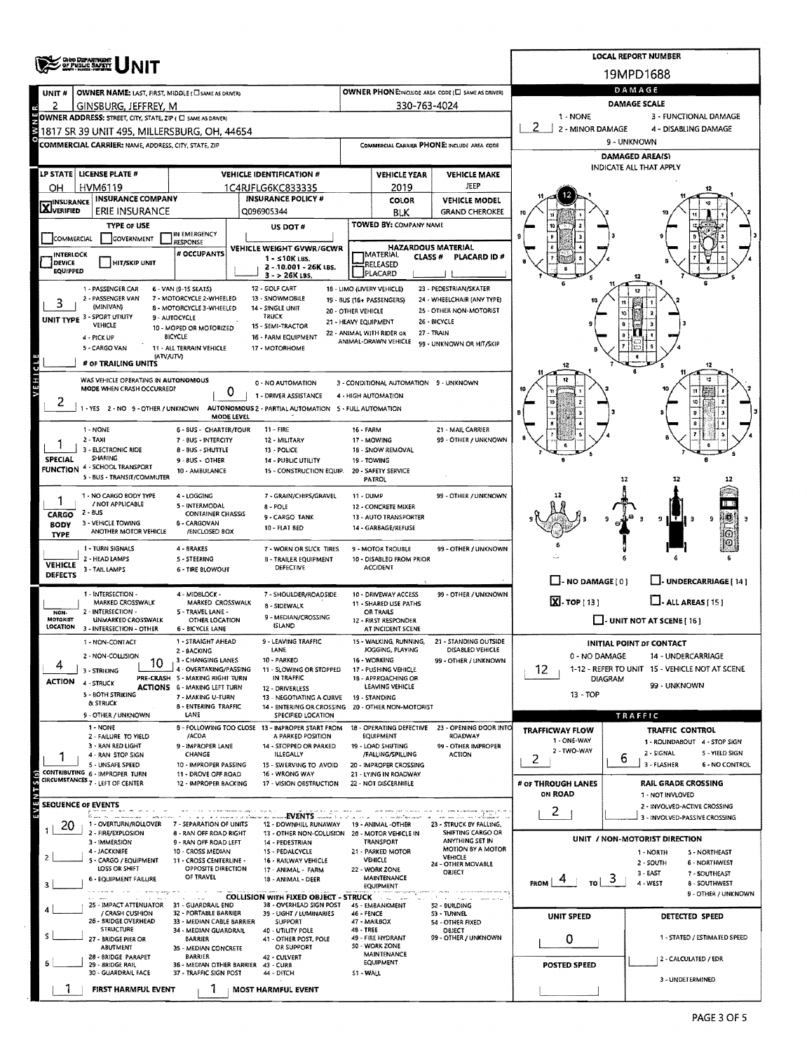|                                                                                                                                                                       |                                                            |                                                          |                                                                                          |                                                |                                                               |                                                  |                                                   | <b>LOCAL REPORT NUMBER</b>                                           |  |  |  |  |  |
|-----------------------------------------------------------------------------------------------------------------------------------------------------------------------|------------------------------------------------------------|----------------------------------------------------------|------------------------------------------------------------------------------------------|------------------------------------------------|---------------------------------------------------------------|--------------------------------------------------|---------------------------------------------------|----------------------------------------------------------------------|--|--|--|--|--|
|                                                                                                                                                                       | <b>CHO DEPARTMENT</b><br>OF PUBLIC BAFETY                  |                                                          |                                                                                          |                                                |                                                               |                                                  |                                                   | 19MPD1688                                                            |  |  |  |  |  |
| UNIT #                                                                                                                                                                | OWNER NAME: LAST, FIRST, MIDDLE (CI SAME AS DRIVER)        |                                                          | DAMAGE                                                                                   |                                                |                                                               |                                                  |                                                   |                                                                      |  |  |  |  |  |
|                                                                                                                                                                       | GINSBURG, JEFFREY, M                                       |                                                          | <b>OWNER PHONE: INCLUDE AREA CODE (EI) SAME AS DRIVER)</b><br>330-763-4024               |                                                | <b>DAMAGE SCALE</b>                                           |                                                  |                                                   |                                                                      |  |  |  |  |  |
| щ<br>1 - NONE<br>3 - FUNCTIONAL DAMAGE<br>OWNER ADDRESS: STREET, CITY, STATE, ZIP ( C) SAME AS DRIVER)                                                                |                                                            |                                                          |                                                                                          |                                                |                                                               |                                                  |                                                   |                                                                      |  |  |  |  |  |
| у                                                                                                                                                                     | 1817 SR 39 UNIT 495, MILLERSBURG, OH, 44654                |                                                          |                                                                                          | 2.<br>2 - MINOR DAMAGE<br>4 - DISABLING DAMAGE |                                                               |                                                  |                                                   |                                                                      |  |  |  |  |  |
|                                                                                                                                                                       | <b>COMMERCIAL CARRIER: NAME, ADDRESS, CITY, STATE, ZIP</b> |                                                          |                                                                                          | COMMERCIAL CARRIER PHONE: INCLUDE AREA CODE    |                                                               |                                                  | 9 - UNKNOWN                                       |                                                                      |  |  |  |  |  |
|                                                                                                                                                                       |                                                            |                                                          |                                                                                          |                                                |                                                               |                                                  | <b>DAMAGED AREA(S)</b><br>INDICATE ALL THAT APPLY |                                                                      |  |  |  |  |  |
|                                                                                                                                                                       | LP STATE   LICENSE PLATE #                                 |                                                          | <b>VEHICLE IDENTIFICATION #</b>                                                          |                                                | <b>VEHICLE YEAR</b>                                           | <b>VEHICLE MAKE</b><br>JEEP                      |                                                   |                                                                      |  |  |  |  |  |
| OН                                                                                                                                                                    | HVM6119<br><b>INSURANCE COMPANY</b>                        |                                                          | 1C4RJFLG6KC833335<br><b>INSURANCE POLICY #</b>                                           |                                                | 2019<br><b>COLOR</b>                                          | <b>VEHICLE MODEL</b>                             |                                                   |                                                                      |  |  |  |  |  |
| <b>X</b> INSURANCE                                                                                                                                                    | <b>ERIE INSURANCE</b>                                      |                                                          | Q096905344                                                                               |                                                | BLK                                                           | <b>GRAND CHEROKEE</b>                            |                                                   |                                                                      |  |  |  |  |  |
|                                                                                                                                                                       | <b>TYPE OF USE</b>                                         |                                                          | US DOT#                                                                                  |                                                | TOWED BY: COMPANY NAME                                        |                                                  |                                                   |                                                                      |  |  |  |  |  |
| COMMERCIAL                                                                                                                                                            | GOVERNMENT                                                 | IN EMERGENCY<br><b>RESPONSE</b>                          |                                                                                          |                                                |                                                               |                                                  |                                                   |                                                                      |  |  |  |  |  |
| INTERLOCK                                                                                                                                                             |                                                            | # OCCUPANTS                                              | VEHICLE WEIGHT GVWR/GCWR<br>$1 - 510K$ LBS.                                              |                                                | <b>HAZARDOUS MATERIAL</b><br><b>MATERIAL</b><br><b>CLASS#</b> | PLACARD ID#                                      |                                                   |                                                                      |  |  |  |  |  |
| <b>DEVICE</b><br><b>EQUIPPED</b>                                                                                                                                      | HIT/SKIP UNIT                                              |                                                          | 2 - 10.001 - 26K LBS.<br>$3 - 26K$ LBS.                                                  | RELEASED<br>PLACARD                            |                                                               |                                                  |                                                   |                                                                      |  |  |  |  |  |
| 23 - PEDESTRIAN/SKATER<br>1 - PASSENGER CAR<br>6 - VAN (9-15 SEATS)<br>12 - GOLF CART<br>18 - LIMO (LIVERY VEHICLE)                                                   |                                                            |                                                          |                                                                                          |                                                |                                                               |                                                  |                                                   |                                                                      |  |  |  |  |  |
|                                                                                                                                                                       | 2 - PASSENGER VAN<br>(MINIVAN)                             | 7 - MOTORCYCLE 2-WHEELED                                 | 13 - SNOWMOBILE                                                                          |                                                | 19 - BUS (16+ PASSENGERS)                                     | 24 - WHEELCHAIR (ANY TYPE)                       |                                                   |                                                                      |  |  |  |  |  |
|                                                                                                                                                                       | UNIT TYPE 3 - SPORT UTILITY                                | 8 - MOTORCYCLE 3-WHEELED<br>9 - AUTOCYCLE                | 14 - SINGLE UNIT<br><b>TRUCK</b>                                                         | 20 - OTHER VEHICLE                             | 21 - HEAVY EQUIPMENT                                          | 25 - OTHER NON-MOTORIST<br>26 - BICYCLE          |                                                   |                                                                      |  |  |  |  |  |
|                                                                                                                                                                       | <b>VEHICLE</b><br>4 - PICK UP                              | 10 - MOPED OR MOTORIZED<br>BICYCLE                       | 15 - SEMI-TRACTOR<br>16 - FARM EQUIPMENT                                                 |                                                | 22 - ANIMAL WITH RIDER OR                                     | 27 - TRAIN                                       |                                                   |                                                                      |  |  |  |  |  |
|                                                                                                                                                                       | 5 - CARGO VAN                                              | 11 - ALL TERRAIN VEHICLE                                 | 17 - MOTORHOME                                                                           |                                                | ANIMAL-DRAWN VEHICLE                                          | 99 - UNKNOWN OR HIT/SKIP                         |                                                   |                                                                      |  |  |  |  |  |
| $\vec{J}$                                                                                                                                                             | (ATV/UTV)<br># OF TRAILING UNITS                           |                                                          |                                                                                          |                                                |                                                               |                                                  | 12                                                | 12                                                                   |  |  |  |  |  |
|                                                                                                                                                                       | WAS VEHICLE OPERATING IN AUTONOMOUS                        |                                                          | 0 - NO AUTOMATION                                                                        |                                                | 3 - CONDITIONAL AUTOMATION 9 - UNKNOWN                        |                                                  |                                                   | $\mathfrak{t}$                                                       |  |  |  |  |  |
| <b>VEHI</b>                                                                                                                                                           | MODE WHEN CRASH OCCURRED?                                  | 0                                                        | 1 - DRIVER ASSISTANCE                                                                    |                                                | 4 - HIGH AUTOMATION                                           |                                                  |                                                   |                                                                      |  |  |  |  |  |
| Ζ                                                                                                                                                                     |                                                            |                                                          | 1 - YES 2 - NO 9 - OTHER / UNKNOWN AUTONOMOUS 2 - PARTIAL AUTOMATION 5 - FULL AUTOMATION |                                                |                                                               |                                                  |                                                   |                                                                      |  |  |  |  |  |
|                                                                                                                                                                       |                                                            | <b>MODE LEVEL</b>                                        |                                                                                          |                                                |                                                               |                                                  |                                                   |                                                                      |  |  |  |  |  |
|                                                                                                                                                                       | 1 - NONE<br>2 - TAXI                                       | 6 - BUS - CHARTER/TOUR<br>7 - BUS - INTERCITY            | $11 - FIRE$<br>12 - MILITARY                                                             | 16 - FARM                                      | 17 - MOWING                                                   | 21 - MAIL CARRIER<br>99 - OTHER / UNKNOWN        |                                                   |                                                                      |  |  |  |  |  |
|                                                                                                                                                                       | <b>3 - ELECTRONIC RIDE</b>                                 | 8 - BUS - SHUTTLE                                        | 13 - POLICE                                                                              |                                                | 18 - SNOW REMOVAL                                             |                                                  |                                                   |                                                                      |  |  |  |  |  |
| <b>SPECIAL</b>                                                                                                                                                        | SHARING<br>FUNCTION 4 - SCHOOL TRANSPORT                   | 9 - BUS - OTHER<br>10 - AMBULANCE                        | 14 - PUBLIC UTILITY<br>15 - CONSTRUCTION EQUIP.                                          |                                                | 19 - TOWING<br>20 - SAFETY SERVICE                            |                                                  |                                                   |                                                                      |  |  |  |  |  |
|                                                                                                                                                                       | 5 - BUS - TRANSIT/COMMUTER                                 |                                                          |                                                                                          |                                                | PATROL                                                        |                                                  |                                                   | 12<br>12                                                             |  |  |  |  |  |
|                                                                                                                                                                       | 1 - NO CARGO BODY TYPE                                     | 4 - LOGGING                                              | 7 - GRAIN/CHIPS/GRAVEL                                                                   | 11 - DUMP                                      |                                                               | 99 - OTHER / UNKNOWN                             |                                                   |                                                                      |  |  |  |  |  |
| CARGO                                                                                                                                                                 | / NOT APPLICABLE<br>2 - 8US                                | 5 - INTERMODAL<br><b>CONTAINER CHASSIS</b>               | 8 - POLE                                                                                 |                                                | 12 - CONCRETE MIXER                                           |                                                  |                                                   |                                                                      |  |  |  |  |  |
| <b>BODY</b>                                                                                                                                                           | 3 - VEHICLE TOWING<br>ANOTHER MOTOR VEHICLE                | <b>6 - CARGOVAN</b><br>/ENCLOSED BOX                     | 9 - CARGO TANK<br>10 - FLAT BED                                                          |                                                | 13 - AUTO TRANSPORTER<br>14 - GARBAGE/REFUSE                  |                                                  |                                                   | a<br>ŋ<br>ı e                                                        |  |  |  |  |  |
| <b>TYPE</b>                                                                                                                                                           |                                                            |                                                          |                                                                                          |                                                |                                                               |                                                  |                                                   |                                                                      |  |  |  |  |  |
|                                                                                                                                                                       | 1 - TURN SIGNALS<br>2 - HEAD LAMPS                         | 4 - BRAKES<br>5 - STEERING                               | 7 - WORN OR SLICK TIRES<br><b>B - TRAILER EQUIPMENT</b>                                  |                                                | 9 - MOTOR TROUBLE<br>10 - DISABLED FROM PRIOR                 | 99 - OTHER / UNKNOWN                             |                                                   |                                                                      |  |  |  |  |  |
| <b>VEHICLE</b><br><b>DEFECTS</b>                                                                                                                                      | 3 - TAIL LAMPS                                             | <b>6 - TIRE BLOWOUT</b>                                  | <b>DEFECTIVE</b>                                                                         |                                                | <b>ACCIDENT</b>                                               |                                                  |                                                   |                                                                      |  |  |  |  |  |
|                                                                                                                                                                       |                                                            |                                                          |                                                                                          |                                                |                                                               |                                                  | $\Box$ - NO DAMAGE [0]                            | J- UNDERCARRIAGE [ 14 ]                                              |  |  |  |  |  |
|                                                                                                                                                                       | 1 - INTERSECTION -<br>MARKED CROSSWALK                     | 4 - MIDBLOCK -<br>MARKED CROSSWALK                       | 7 - SHOULDER/ROADSIDE<br>8 - SIDEWALK                                                    |                                                | 10 - DRIVEWAY ACCESS<br>11 - SHARED LISE PATHS                | 99 - OTHER / UNKNOWN                             | $\boxed{\mathbf{X}}$ . TOP [13]                   | $\Box$ - ALL AREAS [ 15 ]                                            |  |  |  |  |  |
| NON-<br><b>MOTORIST</b>                                                                                                                                               | 2 - INTERSECTION -<br>UNMARKED CROSSWALK                   | 5 - TRAVEL LANE -<br>OTHER LOCATION                      | 9 - MEDIAN/CROSSING                                                                      |                                                | OR TRAILS<br>12 - FIRST RESPONDER                             |                                                  |                                                   | $\Box$ - UNIT NOT AT SCENE [ 16 ]                                    |  |  |  |  |  |
| LOCATION                                                                                                                                                              | 3 - INTERSECTION - OTHER                                   | 6 - BICYCLE LANE                                         | <b>ISLAND</b>                                                                            |                                                | AT INCIDENT SCENE                                             |                                                  |                                                   |                                                                      |  |  |  |  |  |
|                                                                                                                                                                       | 1 - NON-CONTACT                                            | 1 - STRAIGHT AHEAD<br>2 - 8ACKING                        | - LEAVING TRAFFIC<br>LANE                                                                |                                                | 15 - WALKING, RUNNING,<br>JOGGING, PLAYING                    | 21 - STANDING OUTSIDE<br>DISABLED VEHICLE        |                                                   | <b>INITIAL POINT DF CONTACT</b>                                      |  |  |  |  |  |
| 4                                                                                                                                                                     | 2 - NON-COLLISION<br>10                                    | 3 - CHANGING LANES<br>4 - OVERTAKING/PASSING             | 10 - PARKED                                                                              |                                                | 16 - WORKING                                                  | 99 - OTHER / UNKNOWN                             | 0 - NO DAMAGE                                     | 14 - UNDERCARRIAGE<br>1-12 - REFER TO UNIT 15 - VEHICLE NOT AT SCENE |  |  |  |  |  |
| <b>ACTION</b>                                                                                                                                                         | 3 - STRIKING<br>4 - STRUCK                                 | PRE-CRASH 5 - MAKING RIGHT TURN                          | 11 - SLOWING OR STOPPED<br>IN TRAFFIC                                                    |                                                | 17 - PUSHING VEHICLE<br>18 - APPROACHING OR                   |                                                  | 12<br><b>DIAGRAM</b>                              |                                                                      |  |  |  |  |  |
|                                                                                                                                                                       | 5 - BOTH STRIKING                                          | <b>ACTIONS 6 - MAKING LEFT TURN</b><br>7 - MAKING U-TURN | 12 - DRIVERLESS<br>13 - NEGOTIATING A CURVE 19 - STANDING                                |                                                | LEAVING VEHICLE                                               |                                                  | 13 - TOP                                          | 99 - UNKNOWN                                                         |  |  |  |  |  |
|                                                                                                                                                                       | & STRUCK                                                   | <b>8 - ENTERING TRAFFIC</b>                              | 14 - ENTERING OR CROSSING 20 - OTHER NON-MOTORIST                                        |                                                |                                                               |                                                  |                                                   |                                                                      |  |  |  |  |  |
|                                                                                                                                                                       | 9 - OTHER / UNKNOWN<br>1 - NONE                            | LANE                                                     | SPECIFIED LOCATION<br>8 - FOLLOWING TOO CLOSE 13 - IMPROPER START FROM                   |                                                | 18 - OPERATING DEFECTIVE                                      | 23 - OPENING DOOR INTO                           |                                                   | TRAFFIC                                                              |  |  |  |  |  |
|                                                                                                                                                                       | 2 - FAILURE TO VIELD                                       | /ACDA                                                    | A PARKED POSITION                                                                        |                                                | <b>EQUIPMENT</b>                                              | ROADWAY                                          | TRAFFICWAY FLOW<br>1 - ONE-WAY                    | TRAFFIC CONTROL<br>1 - ROUNDABOUT 4 - STOP SIGN                      |  |  |  |  |  |
|                                                                                                                                                                       | 3 - RAN RED LIGHT<br>4 - RAN STOP SIGN                     | 9 - IMPROPER LANE<br>CHANGE                              | 14 - STOPPED OR PARKED<br><b>ILLEGALLY</b>                                               |                                                | 19 - LOAD SHIFTING<br>/FALUNG/SPILLING                        | 99 - OTHER IMPROPER<br><b>ACTION</b>             | 2 - TWO-WAY                                       | 2 - SIGNAL<br>5 - YIELD SIGN<br>ь                                    |  |  |  |  |  |
|                                                                                                                                                                       | 5 - UNSAFE SPEED<br>CONTRIBUTING 6 - IMPROPER TURN         | 10 - IMPROPER PASSING                                    | 15 - SWERVING TO AVOID                                                                   |                                                | 20 - IMPROPER CROSSING                                        |                                                  | 2                                                 | 3 - FLASHER<br>6 - NO CONTROL                                        |  |  |  |  |  |
| EVENTS(5)                                                                                                                                                             | CIRCUMSTANCES 7 - LEFT OF CENTER                           | 11 - DROVE OFF ROAD<br>12 - IMPROPER BACKING             | 16 - WRONG WAY<br>17 - VISION OBSTRUCTION                                                |                                                | 21 - LYING IN ROADWAY<br>22 - NOT DISCERNIBLE                 |                                                  | # OF THROUGH LANES                                | <b>RAIL GRADE CROSSING</b>                                           |  |  |  |  |  |
| <b>SEQUENCE OF EVENTS</b>                                                                                                                                             |                                                            |                                                          |                                                                                          |                                                |                                                               |                                                  | ON ROAD                                           | 1 - NOT INVLOVED                                                     |  |  |  |  |  |
|                                                                                                                                                                       |                                                            |                                                          | and construction of the control <b>EVENTS</b> constant to a set                          |                                                | ar den <sup>k</sup> om av et                                  | en aan in met skak                               | 2                                                 | 2 - INVOLVED-ACTIVE CROSSING<br>3 - INVOLVED-PASSIVE CROSSING        |  |  |  |  |  |
| 20                                                                                                                                                                    | 1 - OVERTURN/ROLLOVER<br>2 - FIRE/EXPLOSION                | 7 - SEPARATION OF UNITS<br>8 - RAN OFF ROAD RIGHT        | 12 - DOWNHILL RUNAWAY<br>13 - OTHER NON-COLLISION                                        |                                                | 19 - ANIMAL -OTHER<br>20 - MOTOR VEHICLE IN                   | 23 - STRUCK BY FALLING,<br>SHIFTING CARGO OR     |                                                   |                                                                      |  |  |  |  |  |
|                                                                                                                                                                       | 3 - IMMERSION                                              | 9 - RAN OFF ROAD LEFT                                    | 14 - PEDESTRIAN                                                                          |                                                | TRANSPORT                                                     | ANYTHING SET IN<br>MOTION BY A MOTOR             |                                                   | UNIT / NON-MOTORIST DIRECTION                                        |  |  |  |  |  |
|                                                                                                                                                                       | 4 - JACKKNIFE<br>5 - CARGO / EQUIPMENT                     | 10 - CROSS MEDIAN<br>11 - CROSS CENTERLINE -             | 15 - PEDALCYCLE<br>16 - RAILWAY VEHICLE                                                  |                                                | 21 - PARKED MOTOR<br>VEHICLE                                  | <b>VEHICLE</b><br>24 - OTHER MOVABLE             |                                                   | 1 - NORTH<br>5 - NORTHEAST<br>2 - SOUTH<br><b>6 - NORTHWEST</b>      |  |  |  |  |  |
|                                                                                                                                                                       | LOSS OR SHIFT                                              | OPPOSITE DIRECTION<br>OF TRAVEL                          | 17 - ANIMAL - FARM                                                                       |                                                | 22 - WORK ZONE<br>MAINTENANCE                                 | OBJECT                                           |                                                   | $3 - EAST$<br>7 - SOUTHEAST                                          |  |  |  |  |  |
| 3<br>6 - EQUIPMENT FAILURE<br>18 - ANIMAL - DEER<br><b>FROM</b><br>4 - WEST<br>TO<br>8 - SOUTHWEST<br><b>EQUIPMENT</b><br><b>COLLISION WITH FIXED OBJECT - STRUCK</b> |                                                            |                                                          |                                                                                          |                                                |                                                               |                                                  |                                                   |                                                                      |  |  |  |  |  |
|                                                                                                                                                                       | 25 - IMPACT ATTENUATOR                                     | 31 - GUARDRAIL END                                       |                                                                                          | 9 - OTHER / UNKNOWN                            |                                                               |                                                  |                                                   |                                                                      |  |  |  |  |  |
|                                                                                                                                                                       | / CRASH CUSHION<br>26 - BRIDGE OVERHEAD                    | 32 - PORTABLE BARRIER<br>33 - MEDIAN CABLE BARRIER       | 38 - OVERHEAD SIGN POST<br>39 - LIGHT / LUMINARIES<br><b>SUPPORT</b>                     | 46 - FENCE                                     | 45 - EMBANKMENT<br>47 - MAILBOX                               | 52 - BUILDING<br>S3 - TUNNEL<br>54 - OTHER FIXED | <b>UNIT SPEED</b>                                 | DETECTED SPEED                                                       |  |  |  |  |  |
|                                                                                                                                                                       | <b>STRUCTURE</b>                                           | 34 - MEDIAN GUARDRAIL                                    | 40 - UTILITY POLE                                                                        | 48 - TREE                                      | 49 - FIRE HYDRANT                                             | OBJECT<br>99 - OTHER / UNKNOWN                   |                                                   | 1 - STATED / ESTIMATED SPEED                                         |  |  |  |  |  |
|                                                                                                                                                                       | 27 - BRIDGE PIER OR<br>ABUTMENT                            | BARRIER<br>35 - MEDIAN CONCRETE                          | 41 - OTHER POST, POLE<br>OR SUPPORT                                                      |                                                | <b>SO - WORK ZONE</b>                                         |                                                  | Ü                                                 |                                                                      |  |  |  |  |  |
|                                                                                                                                                                       | 28 - BRIDGE PARAPET<br>29 - BRIDGE RAIL                    | BARRIER<br>36 - MEDIAN OTHER BARRIER 43 - CURB           | 42 - CULVERT                                                                             |                                                | MAINTENANCE<br>EQUIPMENT                                      |                                                  | <b>POSTED SPEED</b>                               | 2 - CALCULATED / EDR                                                 |  |  |  |  |  |
|                                                                                                                                                                       | 30 - GUARDRAIL FACE                                        | 37 - TRAFFIC SIGN POST                                   | 44 - DITCH                                                                               | S1 - WALL                                      |                                                               |                                                  |                                                   | 3 - UNDETERMINED                                                     |  |  |  |  |  |
|                                                                                                                                                                       | FIRST HARMFUL EVENT                                        |                                                          | <b>MOST HARMFUL EVENT</b>                                                                |                                                |                                                               |                                                  |                                                   |                                                                      |  |  |  |  |  |